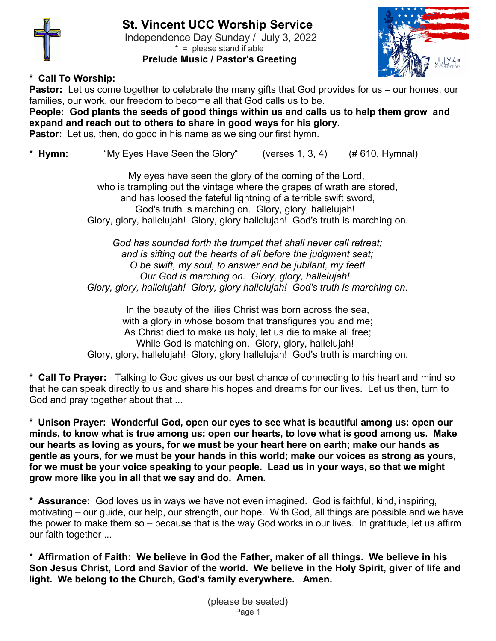

# **St. Vincent UCC Worship Service**

Independence Day Sunday / July 3, 2022  $* =$  please stand if able **Prelude Music / Pastor's Greeting**



# **\* Call To Worship:**

**Pastor:** Let us come together to celebrate the many gifts that God provides for us – our homes, our families, our work, our freedom to become all that God calls us to be.

**People: God plants the seeds of good things within us and calls us to help them grow and expand and reach out to others to share in good ways for his glory.** 

**Pastor:** Let us, then, do good in his name as we sing our first hymn.

**\* Hymn:** "My Eyes Have Seen the Glory" (verses 1, 3, 4) (# 610, Hymnal)

My eyes have seen the glory of the coming of the Lord, who is trampling out the vintage where the grapes of wrath are stored, and has loosed the fateful lightning of a terrible swift sword, God's truth is marching on. Glory, glory, hallelujah! Glory, glory, hallelujah! Glory, glory hallelujah! God's truth is marching on.

*God has sounded forth the trumpet that shall never call retreat; and is sifting out the hearts of all before the judgment seat; O be swift, my soul, to answer and be jubilant, my feet! Our God is marching on. Glory, glory, hallelujah! Glory, glory, hallelujah! Glory, glory hallelujah! God's truth is marching on.*

In the beauty of the lilies Christ was born across the sea, with a glory in whose bosom that transfigures you and me; As Christ died to make us holy, let us die to make all free; While God is matching on. Glory, glory, hallelujah! Glory, glory, hallelujah! Glory, glory hallelujah! God's truth is marching on.

**\* Call To Prayer:** Talking to God gives us our best chance of connecting to his heart and mind so that he can speak directly to us and share his hopes and dreams for our lives. Let us then, turn to God and pray together about that ...

**\* Unison Prayer: Wonderful God, open our eyes to see what is beautiful among us: open our minds, to know what is true among us; open our hearts, to love what is good among us. Make our hearts as loving as yours, for we must be your heart here on earth; make our hands as gentle as yours, for we must be your hands in this world; make our voices as strong as yours, for we must be your voice speaking to your people. Lead us in your ways, so that we might grow more like you in all that we say and do. Amen.** 

**\* Assurance:** God loves us in ways we have not even imagined. God is faithful, kind, inspiring, motivating – our guide, our help, our strength, our hope. With God, all things are possible and we have the power to make them so – because that is the way God works in our lives. In gratitude, let us affirm our faith together ...

\* **Affirmation of Faith: We believe in God the Father, maker of all things. We believe in his Son Jesus Christ, Lord and Savior of the world. We believe in the Holy Spirit, giver of life and light. We belong to the Church, God's family everywhere. Amen.**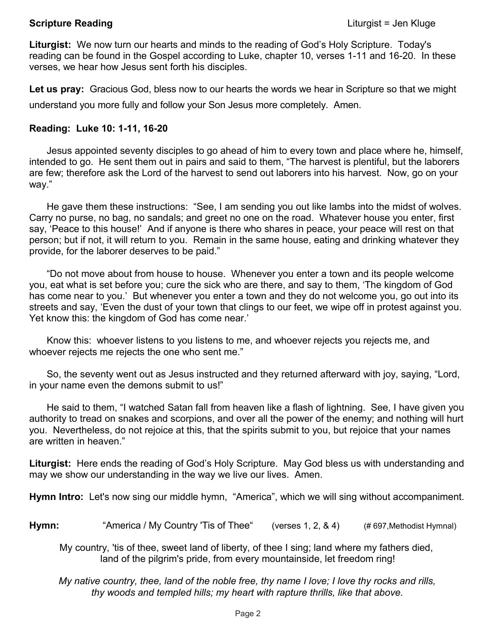**Liturgist:** We now turn our hearts and minds to the reading of God's Holy Scripture. Today's reading can be found in the Gospel according to Luke, chapter 10, verses 1-11 and 16-20. In these verses, we hear how Jesus sent forth his disciples.

**Let us pray:** Gracious God, bless now to our hearts the words we hear in Scripture so that we might understand you more fully and follow your Son Jesus more completely. Amen.

## **Reading: Luke 10: 1-11, 16-20**

Jesus appointed seventy disciples to go ahead of him to every town and place where he, himself, intended to go. He sent them out in pairs and said to them, "The harvest is plentiful, but the laborers are few; therefore ask the Lord of the harvest to send out laborers into his harvest. Now, go on your way."

He gave them these instructions: "See, I am sending you out like lambs into the midst of wolves. Carry no purse, no bag, no sandals; and greet no one on the road. Whatever house you enter, first say, 'Peace to this house!' And if anyone is there who shares in peace, your peace will rest on that person; but if not, it will return to you. Remain in the same house, eating and drinking whatever they provide, for the laborer deserves to be paid."

"Do not move about from house to house. Whenever you enter a town and its people welcome you, eat what is set before you; cure the sick who are there, and say to them, 'The kingdom of God has come near to you.' But whenever you enter a town and they do not welcome you, go out into its streets and say, 'Even the dust of your town that clings to our feet, we wipe off in protest against you. Yet know this: the kingdom of God has come near.'

Know this: whoever listens to you listens to me, and whoever rejects you rejects me, and whoever rejects me rejects the one who sent me."

So, the seventy went out as Jesus instructed and they returned afterward with joy, saying, "Lord, in your name even the demons submit to us!"

He said to them, "I watched Satan fall from heaven like a flash of lightning. See, I have given you authority to tread on snakes and scorpions, and over all the power of the enemy; and nothing will hurt you. Nevertheless, do not rejoice at this, that the spirits submit to you, but rejoice that your names are written in heaven."

**Liturgist:** Here ends the reading of God's Holy Scripture. May God bless us with understanding and may we show our understanding in the way we live our lives. Amen.

**Hymn Intro:** Let's now sing our middle hymn, "America", which we will sing without accompaniment.

**Hymn:** "America / My Country 'Tis of Thee" (verses 1, 2, & 4) (# 697, Methodist Hymnal)

My country, 'tis of thee, sweet land of liberty, of thee I sing; land where my fathers died, land of the pilgrim's pride, from every mountainside, let freedom ring!

*My native country, thee, land of the noble free, thy name I love; I love thy rocks and rills, thy woods and templed hills; my heart with rapture thrills, like that above.*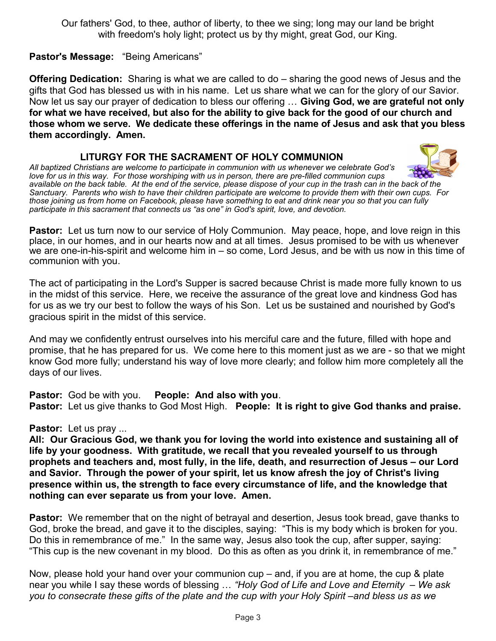Our fathers' God, to thee, author of liberty, to thee we sing; long may our land be bright with freedom's holy light; protect us by thy might, great God, our King.

# **Pastor's Message:** "Being Americans"

**Offering Dedication:** Sharing is what we are called to do – sharing the good news of Jesus and the gifts that God has blessed us with in his name. Let us share what we can for the glory of our Savior. Now let us say our prayer of dedication to bless our offering … **Giving God, we are grateful not only for what we have received, but also for the ability to give back for the good of our church and those whom we serve. We dedicate these offerings in the name of Jesus and ask that you bless them accordingly. Amen.** 

### **LITURGY FOR THE SACRAMENT OF HOLY COMMUNION**

*All baptized Christians are welcome to participate in communion with us whenever we celebrate God's love for us in this way. For those worshiping with us in person, there are pre-filled communion cups*

*available on the back table. At the end of the service, please dispose of your cup in the trash can in the back of the Sanctuary. Parents who wish to have their children participate are welcome to provide them with their own cups. For those joining us from home on Facebook, please have something to eat and drink near you so that you can fully participate in this sacrament that connects us "as one" in God's spirit, love, and devotion.*

**Pastor:** Let us turn now to our service of Holy Communion. May peace, hope, and love reign in this place, in our homes, and in our hearts now and at all times. Jesus promised to be with us whenever we are one-in-his-spirit and welcome him in – so come, Lord Jesus, and be with us now in this time of communion with you.

The act of participating in the Lord's Supper is sacred because Christ is made more fully known to us in the midst of this service. Here, we receive the assurance of the great love and kindness God has for us as we try our best to follow the ways of his Son. Let us be sustained and nourished by God's gracious spirit in the midst of this service.

And may we confidently entrust ourselves into his merciful care and the future, filled with hope and promise, that he has prepared for us. We come here to this moment just as we are - so that we might know God more fully; understand his way of love more clearly; and follow him more completely all the days of our lives.

**Pastor:** God be with you. **People: And also with you**.

**Pastor:** Let us give thanks to God Most High. **People: It is right to give God thanks and praise.** 

# **Pastor:** Let us pray ...

**All: Our Gracious God, we thank you for loving the world into existence and sustaining all of life by your goodness. With gratitude, we recall that you revealed yourself to us through prophets and teachers and, most fully, in the life, death, and resurrection of Jesus – our Lord and Savior. Through the power of your spirit, let us know afresh the joy of Christ's living presence within us, the strength to face every circumstance of life, and the knowledge that nothing can ever separate us from your love. Amen.** 

**Pastor:** We remember that on the night of betrayal and desertion, Jesus took bread, gave thanks to God, broke the bread, and gave it to the disciples, saying: "This is my body which is broken for you. Do this in remembrance of me." In the same way, Jesus also took the cup, after supper, saying: "This cup is the new covenant in my blood. Do this as often as you drink it, in remembrance of me."

Now, please hold your hand over your communion cup – and, if you are at home, the cup & plate near you while I say these words of blessing … *"Holy God of Life and Love and Eternity – We ask you to consecrate these gifts of the plate and the cup with your Holy Spirit –and bless us as we*